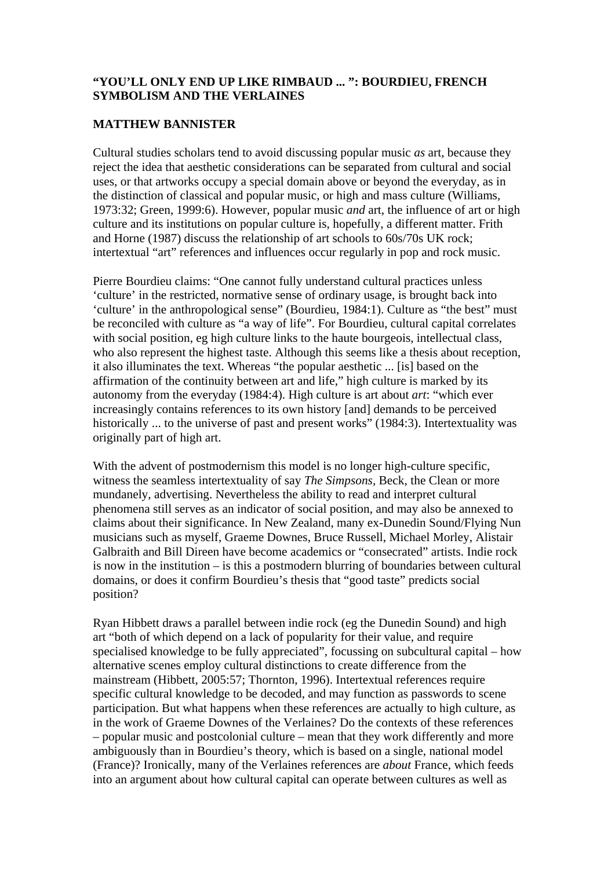### **"YOU'LL ONLY END UP LIKE RIMBAUD ... ": BOURDIEU, FRENCH SYMBOLISM AND THE VERLAINES**

# **MATTHEW BANNISTER**

Cultural studies scholars tend to avoid discussing popular music *as* art, because they reject the idea that aesthetic considerations can be separated from cultural and social uses, or that artworks occupy a special domain above or beyond the everyday, as in the distinction of classical and popular music, or high and mass culture (Williams, 1973:32; Green, 1999:6). However, popular music *and* art, the influence of art or high culture and its institutions on popular culture is, hopefully, a different matter. Frith and Horne (1987) discuss the relationship of art schools to 60s/70s UK rock; intertextual "art" references and influences occur regularly in pop and rock music.

Pierre Bourdieu claims: "One cannot fully understand cultural practices unless 'culture' in the restricted, normative sense of ordinary usage, is brought back into 'culture' in the anthropological sense" (Bourdieu, 1984:1). Culture as "the best" must be reconciled with culture as "a way of life". For Bourdieu, cultural capital correlates with social position, eg high culture links to the haute bourgeois, intellectual class, who also represent the highest taste. Although this seems like a thesis about reception, it also illuminates the text. Whereas "the popular aesthetic ... [is] based on the affirmation of the continuity between art and life," high culture is marked by its autonomy from the everyday (1984:4). High culture is art about *art*: "which ever increasingly contains references to its own history [and] demands to be perceived historically ... to the universe of past and present works" (1984:3). Intertextuality was originally part of high art.

With the advent of postmodernism this model is no longer high-culture specific, witness the seamless intertextuality of say *The Simpsons,* Beck, the Clean or more mundanely, advertising. Nevertheless the ability to read and interpret cultural phenomena still serves as an indicator of social position, and may also be annexed to claims about their significance. In New Zealand, many ex-Dunedin Sound/Flying Nun musicians such as myself, Graeme Downes, Bruce Russell, Michael Morley, Alistair Galbraith and Bill Direen have become academics or "consecrated" artists. Indie rock is now in the institution – is this a postmodern blurring of boundaries between cultural domains, or does it confirm Bourdieu's thesis that "good taste" predicts social position?

Ryan Hibbett draws a parallel between indie rock (eg the Dunedin Sound) and high art "both of which depend on a lack of popularity for their value, and require specialised knowledge to be fully appreciated", focussing on subcultural capital – how alternative scenes employ cultural distinctions to create difference from the mainstream (Hibbett, 2005:57; Thornton, 1996). Intertextual references require specific cultural knowledge to be decoded, and may function as passwords to scene participation. But what happens when these references are actually to high culture, as in the work of Graeme Downes of the Verlaines? Do the contexts of these references – popular music and postcolonial culture – mean that they work differently and more ambiguously than in Bourdieu's theory, which is based on a single, national model (France)? Ironically, many of the Verlaines references are *about* France, which feeds into an argument about how cultural capital can operate between cultures as well as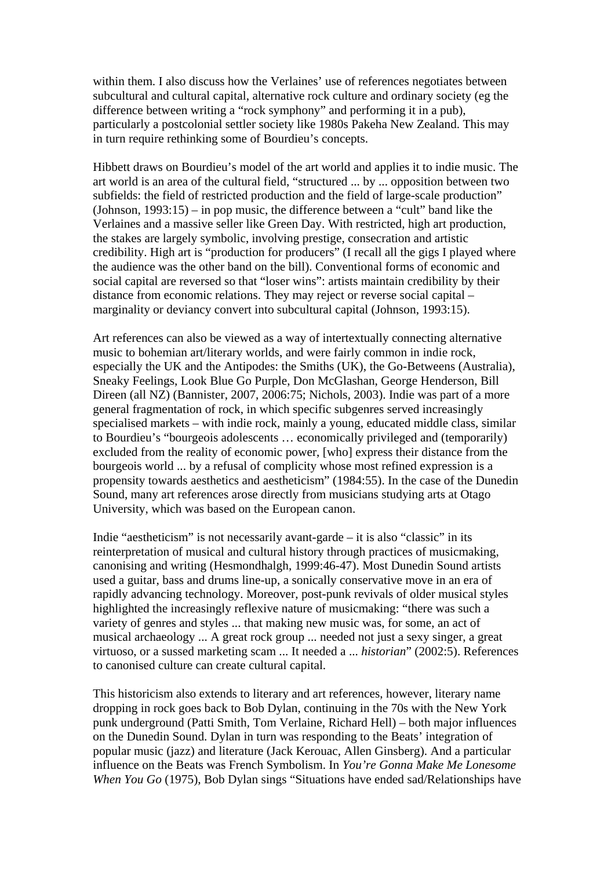within them. I also discuss how the Verlaines' use of references negotiates between subcultural and cultural capital, alternative rock culture and ordinary society (eg the difference between writing a "rock symphony" and performing it in a pub), particularly a postcolonial settler society like 1980s Pakeha New Zealand. This may in turn require rethinking some of Bourdieu's concepts.

Hibbett draws on Bourdieu's model of the art world and applies it to indie music. The art world is an area of the cultural field, "structured ... by ... opposition between two subfields: the field of restricted production and the field of large-scale production" (Johnson, 1993:15) – in pop music, the difference between a "cult" band like the Verlaines and a massive seller like Green Day. With restricted, high art production, the stakes are largely symbolic, involving prestige, consecration and artistic credibility. High art is "production for producers" (I recall all the gigs I played where the audience was the other band on the bill). Conventional forms of economic and social capital are reversed so that "loser wins": artists maintain credibility by their distance from economic relations. They may reject or reverse social capital – marginality or deviancy convert into subcultural capital (Johnson, 1993:15).

Art references can also be viewed as a way of intertextually connecting alternative music to bohemian art/literary worlds, and were fairly common in indie rock, especially the UK and the Antipodes: the Smiths (UK), the Go-Betweens (Australia), Sneaky Feelings, Look Blue Go Purple, Don McGlashan, George Henderson, Bill Direen (all NZ) (Bannister, 2007, 2006:75; Nichols, 2003). Indie was part of a more general fragmentation of rock, in which specific subgenres served increasingly specialised markets – with indie rock, mainly a young, educated middle class, similar to Bourdieu's "bourgeois adolescents … economically privileged and (temporarily) excluded from the reality of economic power, [who] express their distance from the bourgeois world ... by a refusal of complicity whose most refined expression is a propensity towards aesthetics and aestheticism" (1984:55). In the case of the Dunedin Sound, many art references arose directly from musicians studying arts at Otago University, which was based on the European canon.

Indie "aestheticism" is not necessarily avant-garde – it is also "classic" in its reinterpretation of musical and cultural history through practices of musicmaking, canonising and writing (Hesmondhalgh, 1999:46-47). Most Dunedin Sound artists used a guitar, bass and drums line-up, a sonically conservative move in an era of rapidly advancing technology. Moreover, post-punk revivals of older musical styles highlighted the increasingly reflexive nature of musicmaking: "there was such a variety of genres and styles ... that making new music was, for some, an act of musical archaeology ... A great rock group ... needed not just a sexy singer, a great virtuoso, or a sussed marketing scam ... It needed a ... *historian*" (2002:5). References to canonised culture can create cultural capital.

This historicism also extends to literary and art references, however, literary name dropping in rock goes back to Bob Dylan, continuing in the 70s with the New York punk underground (Patti Smith, Tom Verlaine, Richard Hell) – both major influences on the Dunedin Sound. Dylan in turn was responding to the Beats' integration of popular music (jazz) and literature (Jack Kerouac, Allen Ginsberg). And a particular influence on the Beats was French Symbolism. In *You're Gonna Make Me Lonesome When You Go* (1975), Bob Dylan sings "Situations have ended sad/Relationships have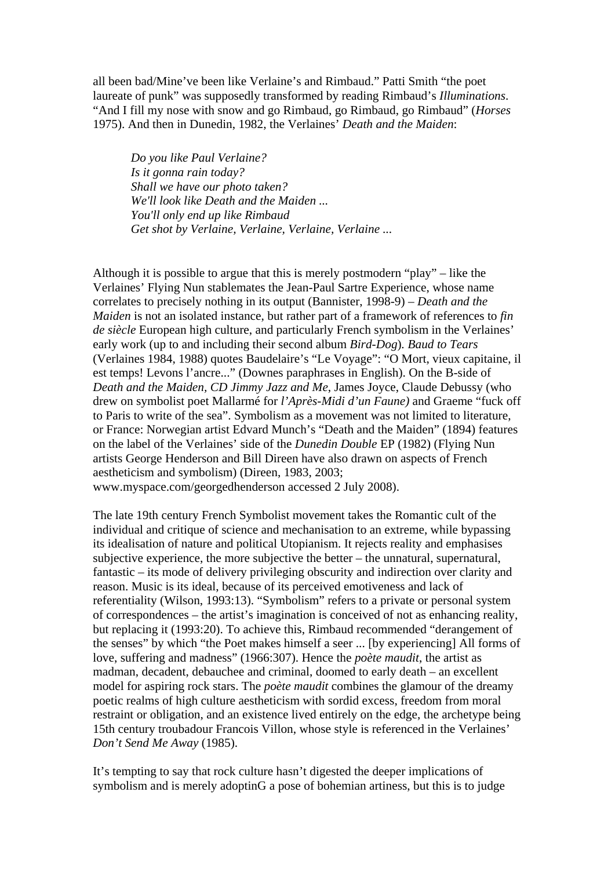all been bad/Mine've been like Verlaine's and Rimbaud." Patti Smith "the poet laureate of punk" was supposedly transformed by reading Rimbaud's *Illuminations*. "And I fill my nose with snow and go Rimbaud, go Rimbaud, go Rimbaud" (*Horses*  1975). And then in Dunedin, 1982, the Verlaines' *Death and the Maiden*:

*Do you like Paul Verlaine? Is it gonna rain today? Shall we have our photo taken? We'll look like Death and the Maiden ... You'll only end up like Rimbaud Get shot by Verlaine, Verlaine, Verlaine, Verlaine ...* 

Although it is possible to argue that this is merely postmodern "play" – like the Verlaines' Flying Nun stablemates the Jean-Paul Sartre Experience, whose name correlates to precisely nothing in its output (Bannister, 1998-9) – *Death and the Maiden* is not an isolated instance, but rather part of a framework of references to *fin de siècle* European high culture, and particularly French symbolism in the Verlaines' early work (up to and including their second album *Bird-Dog*)*. Baud to Tears* (Verlaines 1984, 1988) quotes Baudelaire's "Le Voyage": "O Mort, vieux capitaine, il est temps! Levons l'ancre..." (Downes paraphrases in English). On the B-side of *Death and the Maiden, CD Jimmy Jazz and Me*, James Joyce, Claude Debussy (who drew on symbolist poet Mallarmé for *l'Après-Midi d'un Faune)* and Graeme "fuck off to Paris to write of the sea". Symbolism as a movement was not limited to literature, or France: Norwegian artist Edvard Munch's "Death and the Maiden" (1894) features on the label of the Verlaines' side of the *Dunedin Double* EP (1982) (Flying Nun artists George Henderson and Bill Direen have also drawn on aspects of French aestheticism and symbolism) (Direen, 1983, 2003; www.myspace.com/georgedhenderson accessed 2 July 2008).

The late 19th century French Symbolist movement takes the Romantic cult of the individual and critique of science and mechanisation to an extreme, while bypassing its idealisation of nature and political Utopianism. It rejects reality and emphasises subjective experience, the more subjective the better – the unnatural, supernatural, fantastic – its mode of delivery privileging obscurity and indirection over clarity and reason. Music is its ideal, because of its perceived emotiveness and lack of referentiality (Wilson, 1993:13). "Symbolism" refers to a private or personal system of correspondences – the artist's imagination is conceived of not as enhancing reality, but replacing it (1993:20). To achieve this, Rimbaud recommended "derangement of the senses" by which "the Poet makes himself a seer ... [by experiencing] All forms of love, suffering and madness" (1966:307). Hence the *poète maudit*, the artist as madman, decadent, debauchee and criminal, doomed to early death – an excellent model for aspiring rock stars. The *poète maudit* combines the glamour of the dreamy poetic realms of high culture aestheticism with sordid excess, freedom from moral restraint or obligation, and an existence lived entirely on the edge, the archetype being 15th century troubadour Francois Villon, whose style is referenced in the Verlaines' *Don't Send Me Away* (1985).

It's tempting to say that rock culture hasn't digested the deeper implications of symbolism and is merely adoptinG a pose of bohemian artiness, but this is to judge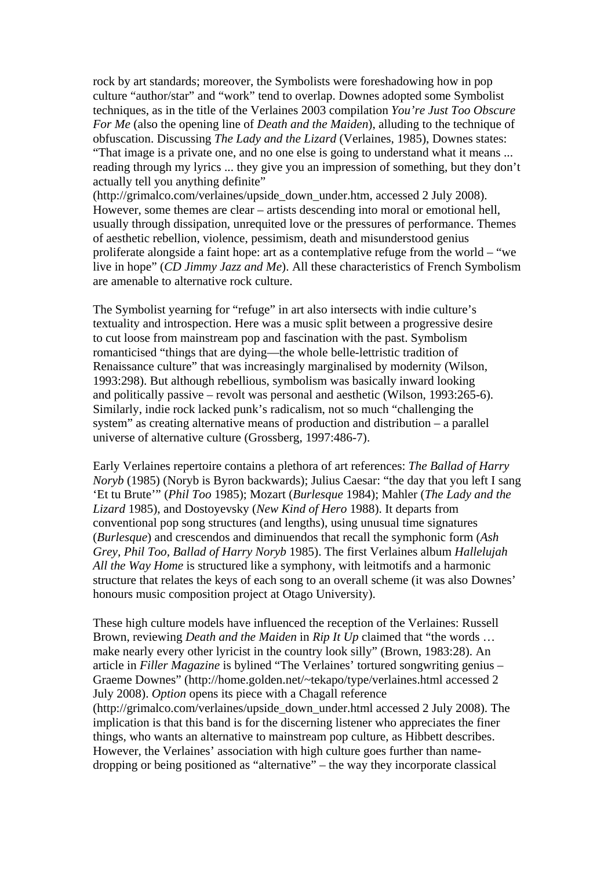rock by art standards; moreover, the Symbolists were foreshadowing how in pop culture "author/star" and "work" tend to overlap. Downes adopted some Symbolist techniques, as in the title of the Verlaines 2003 compilation *You're Just Too Obscure For Me* (also the opening line of *Death and the Maiden*), alluding to the technique of obfuscation. Discussing *The Lady and the Lizard* (Verlaines, 1985), Downes states: "That image is a private one, and no one else is going to understand what it means ... reading through my lyrics ... they give you an impression of something, but they don't actually tell you anything definite"

(http://grimalco.com/verlaines/upside\_down\_under.htm, accessed 2 July 2008). However, some themes are clear – artists descending into moral or emotional hell, usually through dissipation, unrequited love or the pressures of performance. Themes of aesthetic rebellion, violence, pessimism, death and misunderstood genius proliferate alongside a faint hope: art as a contemplative refuge from the world – "we live in hope" (*CD Jimmy Jazz and Me*). All these characteristics of French Symbolism are amenable to alternative rock culture.

The Symbolist yearning for "refuge" in art also intersects with indie culture's textuality and introspection. Here was a music split between a progressive desire to cut loose from mainstream pop and fascination with the past. Symbolism romanticised "things that are dying—the whole [belle-lettristic](http://en.wikipedia.org/wiki/Belles-lettres) tradition of Renaissance culture" that was increasingly marginalised by modernity (Wilson, 1993:298). But although rebellious, symbolism was basically inward looking and politically passive – revolt was personal and aesthetic (Wilson, 1993:265-6). Similarly, indie rock lacked punk's radicalism, not so much "challenging the system" as creating alternative means of production and distribution – a parallel universe of alternative culture (Grossberg, 1997:486-7).

Early Verlaines repertoire contains a plethora of art references: *The Ballad of Harry Noryb* (1985) (Noryb is Byron backwards); Julius Caesar: "the day that you left I sang 'Et tu Brute'" (*Phil Too* 1985); Mozart (*Burlesque* 1984); Mahler (*The Lady and the Lizard* 1985), and Dostoyevsky (*New Kind of Hero* 1988). It departs from conventional pop song structures (and lengths), using unusual time signatures (*Burlesque*) and crescendos and diminuendos that recall the symphonic form (*Ash Grey, Phil Too, Ballad of Harry Noryb* 1985). The first Verlaines album *Hallelujah All the Way Home* is structured like a symphony, with leitmotifs and a harmonic structure that relates the keys of each song to an overall scheme (it was also Downes' honours music composition project at Otago University).

These high culture models have influenced the reception of the Verlaines: Russell Brown, reviewing *Death and the Maiden* in *Rip It Up* claimed that "the words … make nearly every other lyricist in the country look silly" (Brown, 1983:28). An article in *Filler Magazine* is bylined "The Verlaines' tortured songwriting genius – Graeme Downes" (http://home.golden.net/~tekapo/type/verlaines.html accessed 2 July 2008). *Option* opens its piece with a Chagall reference (http://grimalco.com/verlaines/upside\_down\_under.html accessed 2 July 2008). The implication is that this band is for the discerning listener who appreciates the finer things, who wants an alternative to mainstream pop culture, as Hibbett describes. However, the Verlaines' association with high culture goes further than namedropping or being positioned as "alternative" – the way they incorporate classical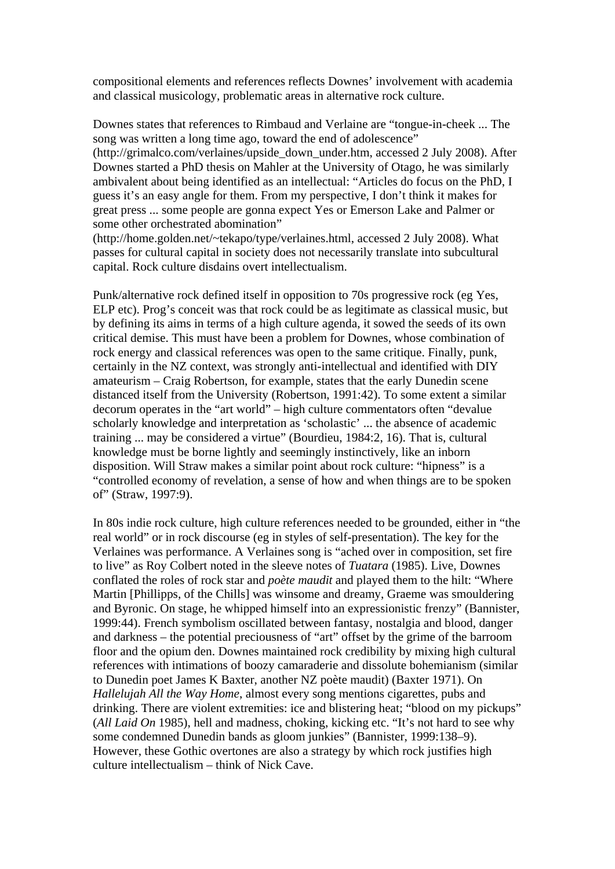compositional elements and references reflects Downes' involvement with academia and classical musicology, problematic areas in alternative rock culture.

Downes states that references to Rimbaud and Verlaine are "tongue-in-cheek ... The song was written a long time ago, toward the end of adolescence"

(http://grimalco.com/verlaines/upside\_down\_under.htm, accessed 2 July 2008). After Downes started a PhD thesis on Mahler at the University of Otago, he was similarly ambivalent about being identified as an intellectual: "Articles do focus on the PhD, I guess it's an easy angle for them. From my perspective, I don't think it makes for great press ... some people are gonna expect Yes or Emerson Lake and Palmer or some other orchestrated abomination"

(http://home.golden.net/~tekapo/type/verlaines.html, accessed 2 July 2008). What passes for cultural capital in society does not necessarily translate into subcultural capital. Rock culture disdains overt intellectualism.

Punk/alternative rock defined itself in opposition to 70s progressive rock (eg Yes, ELP etc). Prog's conceit was that rock could be as legitimate as classical music, but by defining its aims in terms of a high culture agenda, it sowed the seeds of its own critical demise. This must have been a problem for Downes, whose combination of rock energy and classical references was open to the same critique. Finally, punk, certainly in the NZ context, was strongly anti-intellectual and identified with DIY amateurism – Craig Robertson, for example, states that the early Dunedin scene distanced itself from the University (Robertson, 1991:42). To some extent a similar decorum operates in the "art world" – high culture commentators often "devalue scholarly knowledge and interpretation as 'scholastic' ... the absence of academic training ... may be considered a virtue" (Bourdieu, 1984:2, 16). That is, cultural knowledge must be borne lightly and seemingly instinctively, like an inborn disposition. Will Straw makes a similar point about rock culture: "hipness" is a "controlled economy of revelation, a sense of how and when things are to be spoken of" (Straw, 1997:9).

In 80s indie rock culture, high culture references needed to be grounded, either in "the real world" or in rock discourse (eg in styles of self-presentation). The key for the Verlaines was performance. A Verlaines song is "ached over in composition, set fire to live" as Roy Colbert noted in the sleeve notes of *Tuatara* (1985). Live, Downes conflated the roles of rock star and *poète maudit* and played them to the hilt: "Where Martin [Phillipps, of the Chills] was winsome and dreamy, Graeme was smouldering and Byronic. On stage, he whipped himself into an expressionistic frenzy" (Bannister, 1999:44). French symbolism oscillated between fantasy, nostalgia and blood, danger and darkness – the potential preciousness of "art" offset by the grime of the barroom floor and the opium den. Downes maintained rock credibility by mixing high cultural references with intimations of boozy camaraderie and dissolute bohemianism (similar to Dunedin poet James K Baxter, another NZ poète maudit) (Baxter 1971). On *Hallelujah All the Way Home*, almost every song mentions cigarettes, pubs and drinking. There are violent extremities: ice and blistering heat; "blood on my pickups" (*All Laid On* 1985), hell and madness, choking, kicking etc. "It's not hard to see why some condemned Dunedin bands as gloom junkies" (Bannister, 1999:138–9). However, these Gothic overtones are also a strategy by which rock justifies high culture intellectualism – think of Nick Cave.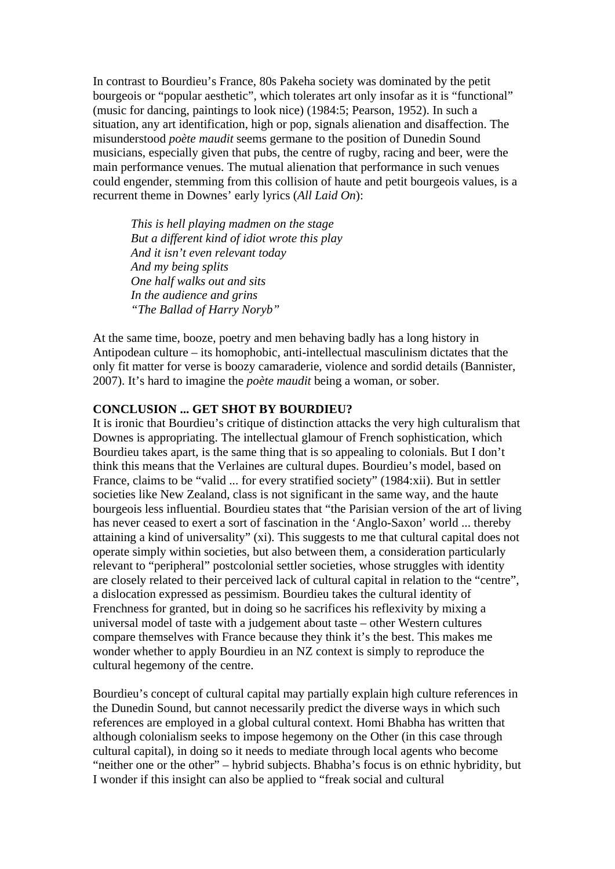In contrast to Bourdieu's France, 80s Pakeha society was dominated by the petit bourgeois or "popular aesthetic", which tolerates art only insofar as it is "functional" (music for dancing, paintings to look nice) (1984:5; Pearson, 1952). In such a situation, any art identification, high or pop, signals alienation and disaffection. The misunderstood *poète maudit* seems germane to the position of Dunedin Sound musicians, especially given that pubs, the centre of rugby, racing and beer, were the main performance venues. The mutual alienation that performance in such venues could engender, stemming from this collision of haute and petit bourgeois values, is a recurrent theme in Downes' early lyrics (*All Laid On*):

*This is hell playing madmen on the stage But a different kind of idiot wrote this play And it isn't even relevant today And my being splits One half walks out and sits In the audience and grins "The Ballad of Harry Noryb"* 

At the same time, booze, poetry and men behaving badly has a long history in Antipodean culture – its homophobic, anti-intellectual masculinism dictates that the only fit matter for verse is boozy camaraderie, violence and sordid details (Bannister, 2007). It's hard to imagine the *poète maudit* being a woman, or sober.

### **CONCLUSION ... GET SHOT BY BOURDIEU?**

It is ironic that Bourdieu's critique of distinction attacks the very high culturalism that Downes is appropriating. The intellectual glamour of French sophistication, which Bourdieu takes apart, is the same thing that is so appealing to colonials. But I don't think this means that the Verlaines are cultural dupes. Bourdieu's model, based on France, claims to be "valid ... for every stratified society" (1984:xii). But in settler societies like New Zealand, class is not significant in the same way, and the haute bourgeois less influential. Bourdieu states that "the Parisian version of the art of living has never ceased to exert a sort of fascination in the 'Anglo-Saxon' world ... thereby attaining a kind of universality" (xi). This suggests to me that cultural capital does not operate simply within societies, but also between them, a consideration particularly relevant to "peripheral" postcolonial settler societies, whose struggles with identity are closely related to their perceived lack of cultural capital in relation to the "centre", a dislocation expressed as pessimism. Bourdieu takes the cultural identity of Frenchness for granted, but in doing so he sacrifices his reflexivity by mixing a universal model of taste with a judgement about taste – other Western cultures compare themselves with France because they think it's the best. This makes me wonder whether to apply Bourdieu in an NZ context is simply to reproduce the cultural hegemony of the centre.

Bourdieu's concept of cultural capital may partially explain high culture references in the Dunedin Sound, but cannot necessarily predict the diverse ways in which such references are employed in a global cultural context. Homi Bhabha has written that although colonialism seeks to impose hegemony on the Other (in this case through cultural capital), in doing so it needs to mediate through local agents who become "neither one or the other" – hybrid subjects. Bhabha's focus is on ethnic hybridity, but I wonder if this insight can also be applied to "freak social and cultural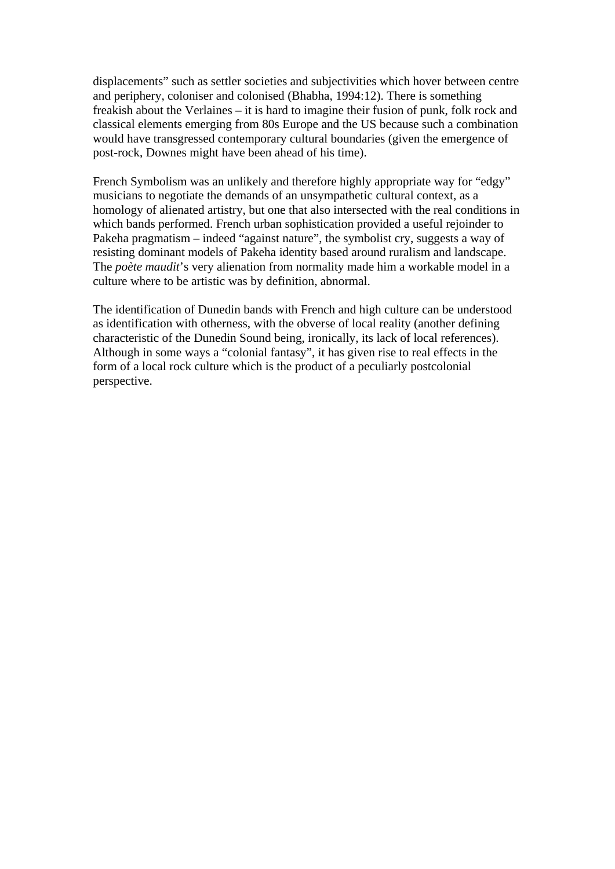displacements" such as settler societies and subjectivities which hover between centre and periphery, coloniser and colonised (Bhabha, 1994:12). There is something freakish about the Verlaines – it is hard to imagine their fusion of punk, folk rock and classical elements emerging from 80s Europe and the US because such a combination would have transgressed contemporary cultural boundaries (given the emergence of post-rock, Downes might have been ahead of his time).

French Symbolism was an unlikely and therefore highly appropriate way for "edgy" musicians to negotiate the demands of an unsympathetic cultural context, as a homology of alienated artistry, but one that also intersected with the real conditions in which bands performed. French urban sophistication provided a useful rejoinder to Pakeha pragmatism – indeed "against nature", the symbolist cry, suggests a way of resisting dominant models of Pakeha identity based around ruralism and landscape. The *poète maudit*'s very alienation from normality made him a workable model in a culture where to be artistic was by definition, abnormal.

The identification of Dunedin bands with French and high culture can be understood as identification with otherness, with the obverse of local reality (another defining characteristic of the Dunedin Sound being, ironically, its lack of local references). Although in some ways a "colonial fantasy", it has given rise to real effects in the form of a local rock culture which is the product of a peculiarly postcolonial perspective.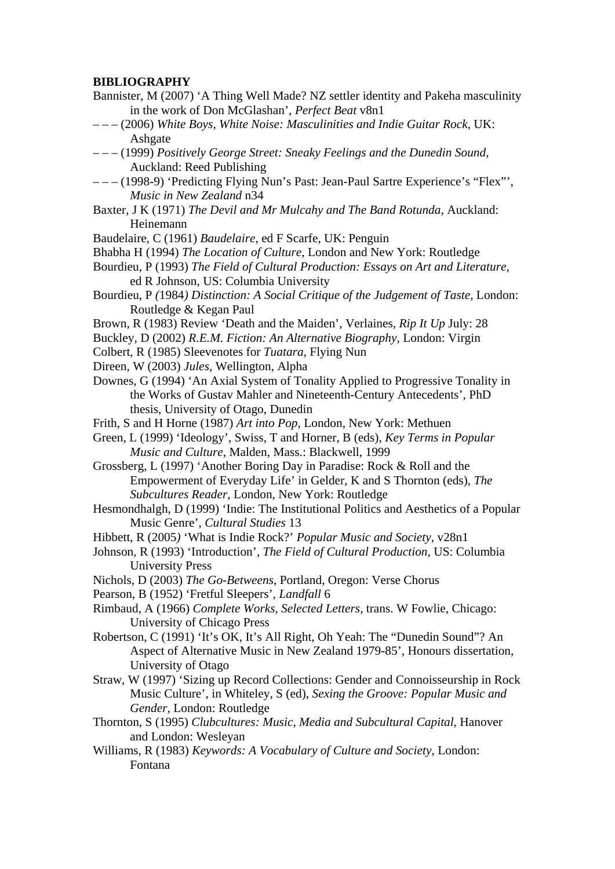### **BIBLIOGRAPHY**

- Bannister, M (2007) 'A Thing Well Made? NZ settler identity and Pakeha masculinity in the work of Don McGlashan', *Perfect Beat* v8n1
- – (2006) *White Boys, White Noise: Masculinities and Indie Guitar Rock,* UK: Ashgate
- – (1999) *Positively George Street: Sneaky Feelings and the Dunedin Sound*, Auckland: Reed Publishing
- – (1998-9) 'Predicting Flying Nun's Past: Jean-Paul Sartre Experience's "Flex"'*, Music in New Zealand* n34
- Baxter, J K (1971) *The Devil and Mr Mulcahy and The Band Rotunda*, Auckland: Heinemann
- Baudelaire, C (1961) *Baudelaire*, ed F Scarfe, UK: Penguin
- Bhabha H (1994) *The Location of Culture,* London and New York: Routledge
- Bourdieu, P (1993) *The Field of Cultural Production: Essays on Art and Literature,*  ed R Johnson*,* US: Columbia University
- Bourdieu, P *(*1984*) Distinction: A Social Critique of the Judgement of Taste,* London: Routledge & Kegan Paul
- Brown, R (1983) Review 'Death and the Maiden', Verlaines, *Rip It Up* July: 28
- Buckley, D (2002) *R.E.M. Fiction: An Alternative Biography*, London: Virgin
- Colbert, R (1985) Sleevenotes for *Tuatara,* Flying Nun
- Direen, W (2003) *Jules*, Wellington, Alpha
- Downes, G (1994) 'An Axial System of Tonality Applied to Progressive Tonality in the Works of Gustav Mahler and Nineteenth-Century Antecedents', PhD thesis, University of Otago, Dunedin
- Frith, S and H Horne (1987) *Art into Pop*, London, New York: Methuen
- Green, L (1999) 'Ideology', Swiss, T and Horner, B (eds), *Key Terms in Popular Music and Culture*, Malden, Mass.: Blackwell, 1999
- Grossberg, L (1997) 'Another Boring Day in Paradise: Rock & Roll and the Empowerment of Everyday Life' in Gelder, K and S Thornton (eds), *The Subcultures Reader*, London, New York: Routledge
- Hesmondhalgh, D (1999) 'Indie: The Institutional Politics and Aesthetics of a Popular Music Genre', *Cultural Studies* 13
- Hibbett, R (2005*)* 'What is Indie Rock?' *Popular Music and Society,* v28n1
- Johnson, R (1993) 'Introduction', *The Field of Cultural Production,* US: Columbia University Press
- Nichols, D (2003) *The Go-Betweens*, Portland, Oregon: Verse Chorus
- Pearson, B (1952) 'Fretful Sleepers', *Landfall* 6
- Rimbaud, A (1966) *Complete Works, Selected Letters,* trans. W Fowlie, Chicago: University of Chicago Press
- Robertson, C (1991) 'It's OK, It's All Right, Oh Yeah: The "Dunedin Sound"? An Aspect of Alternative Music in New Zealand 1979-85', Honours dissertation, University of Otago
- Straw, W (1997) 'Sizing up Record Collections: Gender and Connoisseurship in Rock Music Culture', in Whiteley, S (ed), *Sexing the Groove: Popular Music and Gender,* London: Routledge
- Thornton, S (1995) *Clubcultures: Music, Media and Subcultural Capital*, Hanover and London: Wesleyan
- Williams, R (1983) *Keywords: A Vocabulary of Culture and Society*, London: Fontana